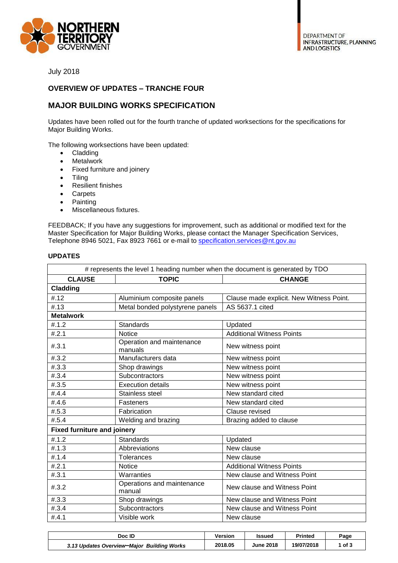

July 2018

## **OVERVIEW OF UPDATES – TRANCHE FOUR**

## **MAJOR BUILDING WORKS SPECIFICATION**

Updates have been rolled out for the fourth tranche of updated worksections for the specifications for Major Building Works.

The following worksections have been updated:

- Cladding
- Metalwork
- Fixed furniture and joinery
- Tiling
- Resilient finishes
- Carpets
- Painting
- Miscellaneous fixtures.

FEEDBACK; If you have any suggestions for improvement, such as additional or modified text for the Master Specification for Major Building Works, please contact the Manager Specification Services, Telephone 8946 5021, Fax 8923 7661 or e-mail to [specification.services@nt.gov.au](mailto:specification.services@nt.gov.au)

| # represents the level 1 heading number when the document is generated by TDO |                                      |                                          |  |  |  |
|-------------------------------------------------------------------------------|--------------------------------------|------------------------------------------|--|--|--|
| <b>CLAUSE</b>                                                                 | <b>TOPIC</b>                         | <b>CHANGE</b>                            |  |  |  |
| <b>Cladding</b>                                                               |                                      |                                          |  |  |  |
| #.12                                                                          | Aluminium composite panels           | Clause made explicit. New Witness Point. |  |  |  |
| #.13                                                                          | Metal bonded polystyrene panels      | AS 5637.1 cited                          |  |  |  |
| <b>Metalwork</b>                                                              |                                      |                                          |  |  |  |
| #.1.2                                                                         | <b>Standards</b>                     | Updated                                  |  |  |  |
| #.2.1                                                                         | <b>Notice</b>                        | <b>Additional Witness Points</b>         |  |  |  |
| #.3.1                                                                         | Operation and maintenance<br>manuals | New witness point                        |  |  |  |
| #.3.2                                                                         | Manufacturers data                   | New witness point                        |  |  |  |
| #.3.3                                                                         | Shop drawings                        | New witness point                        |  |  |  |
| #.3.4                                                                         | Subcontractors                       | New witness point                        |  |  |  |
| #.3.5                                                                         | <b>Execution details</b>             | New witness point                        |  |  |  |
| #.4.4                                                                         | Stainless steel                      | New standard cited                       |  |  |  |
| #.4.6                                                                         | <b>Fasteners</b>                     | New standard cited                       |  |  |  |
| #.5.3                                                                         | Fabrication                          | Clause revised                           |  |  |  |
| #.5.4                                                                         | Welding and brazing                  | Brazing added to clause                  |  |  |  |
| <b>Fixed furniture and joinery</b>                                            |                                      |                                          |  |  |  |
| #.1.2                                                                         | <b>Standards</b>                     | Updated                                  |  |  |  |
| #.1.3                                                                         | Abbreviations                        | New clause                               |  |  |  |
| #.1.4                                                                         | <b>Tolerances</b>                    | New clause                               |  |  |  |
| #.2.1                                                                         | <b>Notice</b>                        | <b>Additional Witness Points</b>         |  |  |  |
| #.3.1                                                                         | Warranties                           | New clause and Witness Point             |  |  |  |
| #.3.2                                                                         | Operations and maintenance<br>manual | New clause and Witness Point             |  |  |  |
| #.3.3                                                                         | Shop drawings                        | New clause and Witness Point             |  |  |  |
| # .3.4                                                                        | Subcontractors                       | New clause and Witness Point             |  |  |  |
| #.4.1                                                                         | Visible work                         | New clause                               |  |  |  |

| Doc ID                                     | Version | Issued           | <b>Printed</b> | Page   |
|--------------------------------------------|---------|------------------|----------------|--------|
| 3.13 Updates Overview-Major Building Works | 2018.05 | <b>June 2018</b> | 19/07/2018     | 1 of 3 |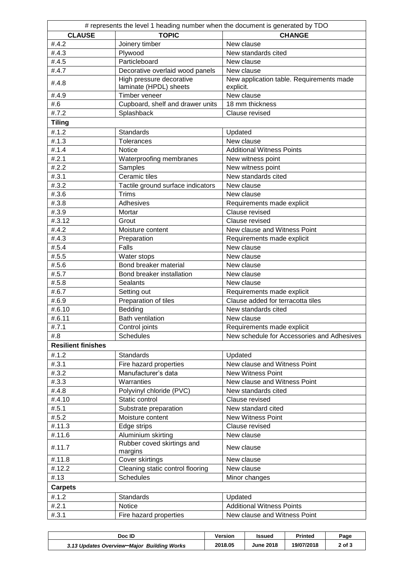| # represents the level 1 heading number when the document is generated by TDO |                                                    |                                                       |  |  |  |
|-------------------------------------------------------------------------------|----------------------------------------------------|-------------------------------------------------------|--|--|--|
| <b>CLAUSE</b>                                                                 | <b>TOPIC</b>                                       | <b>CHANGE</b>                                         |  |  |  |
| #.4.2                                                                         | Joinery timber                                     | New clause                                            |  |  |  |
| #.4.3                                                                         | Plywood                                            | New standards cited                                   |  |  |  |
| #.4.5                                                                         | Particleboard                                      | New clause                                            |  |  |  |
| #.4.7                                                                         | Decorative overlaid wood panels                    | New clause                                            |  |  |  |
| #.4.8                                                                         | High pressure decorative<br>laminate (HPDL) sheets | New application table. Requirements made<br>explicit. |  |  |  |
| #.4.9                                                                         | Timber veneer                                      | New clause                                            |  |  |  |
| #.6                                                                           | Cupboard, shelf and drawer units                   | 18 mm thickness                                       |  |  |  |
| #.7.2                                                                         | Splashback                                         | Clause revised                                        |  |  |  |
| <b>Tiling</b>                                                                 |                                                    |                                                       |  |  |  |
| #.1.2                                                                         | <b>Standards</b>                                   | Updated                                               |  |  |  |
| #.1.3                                                                         | <b>Tolerances</b>                                  | New clause                                            |  |  |  |
| #.1.4                                                                         | <b>Notice</b>                                      | <b>Additional Witness Points</b>                      |  |  |  |
| #.2.1                                                                         | Waterproofing membranes                            | New witness point                                     |  |  |  |
| #.2.2                                                                         | Samples                                            | New witness point                                     |  |  |  |
| #.3.1                                                                         | Ceramic tiles                                      | New standards cited                                   |  |  |  |
| #.3.2                                                                         | Tactile ground surface indicators                  | New clause                                            |  |  |  |
| #.3.6                                                                         | <b>Trims</b>                                       | New clause                                            |  |  |  |
| #.3.8                                                                         | Adhesives                                          | Requirements made explicit                            |  |  |  |
| #.3.9                                                                         | Mortar                                             | Clause revised                                        |  |  |  |
| #.3.12                                                                        | Grout                                              | Clause revised                                        |  |  |  |
| #.4.2                                                                         | Moisture content                                   | New clause and Witness Point                          |  |  |  |
| #.4.3                                                                         | Preparation                                        | Requirements made explicit                            |  |  |  |
| #.5.4                                                                         | Falls                                              | New clause                                            |  |  |  |
| #.5.5                                                                         | Water stops                                        | New clause                                            |  |  |  |
| #.5.6                                                                         | Bond breaker material                              | New clause                                            |  |  |  |
| #.5.7                                                                         | Bond breaker installation                          | New clause                                            |  |  |  |
| #.5.8                                                                         | <b>Sealants</b>                                    | New clause                                            |  |  |  |
| #.6.7                                                                         | Setting out                                        | Requirements made explicit                            |  |  |  |
| #.6.9                                                                         | Preparation of tiles                               | Clause added for terracotta tiles                     |  |  |  |
| #.6.10                                                                        | Bedding                                            | New standards cited                                   |  |  |  |
| #.6.11                                                                        | <b>Bath ventilation</b>                            | New clause                                            |  |  |  |
| #.7.1                                                                         | Control joints                                     | Requirements made explicit                            |  |  |  |
| #.8                                                                           | <b>Schedules</b>                                   | New schedule for Accessories and Adhesives            |  |  |  |
| <b>Resilient finishes</b>                                                     |                                                    |                                                       |  |  |  |
| #.1.2                                                                         | <b>Standards</b>                                   | Updated                                               |  |  |  |
| #.3.1                                                                         | Fire hazard properties                             | New clause and Witness Point                          |  |  |  |
| #.3.2                                                                         | Manufacturer's data                                | New Witness Point                                     |  |  |  |
| #.3.3                                                                         | Warranties                                         | New clause and Witness Point                          |  |  |  |
| #.4.8<br>#.4.10                                                               | Polyvinyl chloride (PVC)<br>Static control         | New standards cited                                   |  |  |  |
| #.5.1                                                                         |                                                    | Clause revised                                        |  |  |  |
| #.5.2                                                                         | Substrate preparation<br>Moisture content          | New standard cited<br><b>New Witness Point</b>        |  |  |  |
| #.11.3                                                                        | Edge strips                                        | Clause revised                                        |  |  |  |
| #.11.6                                                                        | Aluminium skirting                                 | New clause                                            |  |  |  |
|                                                                               | Rubber coved skirtings and                         |                                                       |  |  |  |
| #.11.7                                                                        | margins                                            | New clause                                            |  |  |  |
| #.11.8                                                                        | Cover skirtings                                    | New clause                                            |  |  |  |
| #.12.2                                                                        | Cleaning static control flooring                   | New clause                                            |  |  |  |
| #.13                                                                          | <b>Schedules</b>                                   | Minor changes                                         |  |  |  |
| <b>Carpets</b>                                                                |                                                    |                                                       |  |  |  |
| #.1.2                                                                         | <b>Standards</b>                                   | Updated                                               |  |  |  |
| #.2.1                                                                         | <b>Notice</b>                                      | <b>Additional Witness Points</b>                      |  |  |  |
| #.3.1                                                                         | Fire hazard properties                             | New clause and Witness Point                          |  |  |  |

| Doc ID                                     | Version | Issued           | Printed    | Page   |
|--------------------------------------------|---------|------------------|------------|--------|
| 3.13 Updates Overview-Maior Building Works | 2018.05 | <b>June 2018</b> | 19/07/2018 | 2 of 3 |